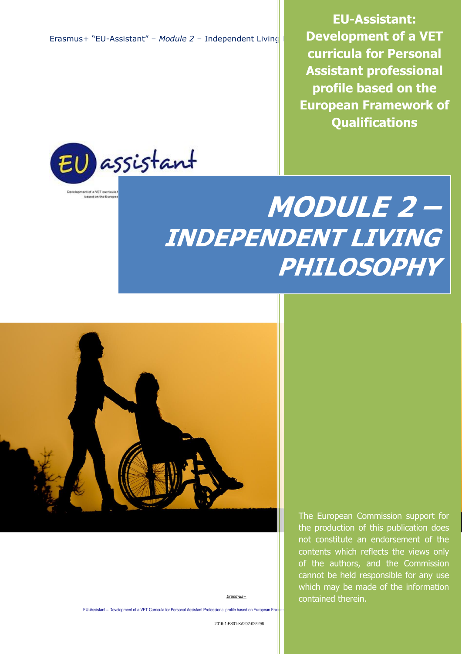**EU-Assistant: Development of a VET curricula for Personal Assistant professional profile based on the European Framework of Qualifications**



# **MODULE 2 – INDEPENDENT LIVING PHILOSOPHY**



not constitute an endorsement of the contents which reflects the views only of the authors, and the Commission cannot be held responsible for any use which may be made of the information contained therein.

The European Commission support for the production of this publication does

EU-Assistant – Development of a VET Curricula for Personal Assistant Professional profile based on European Fra

2016-1-ES01-KA202-025296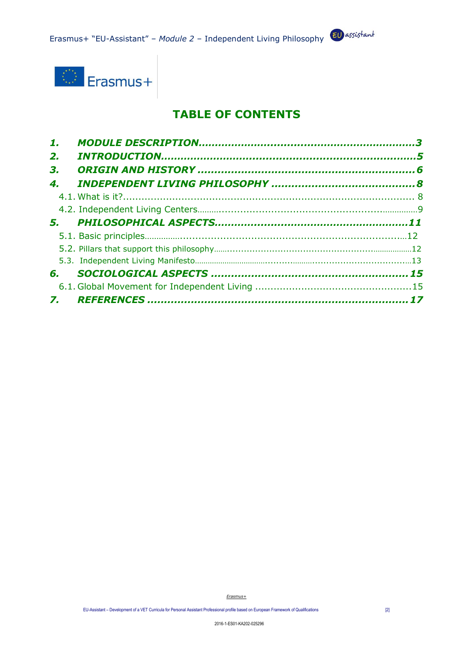

## **TABLE OF CONTENTS**

| 1. |  |
|----|--|
| 2. |  |
| 3. |  |
| 4. |  |
|    |  |
|    |  |
|    |  |
|    |  |
|    |  |
|    |  |
| 6. |  |
|    |  |
|    |  |
|    |  |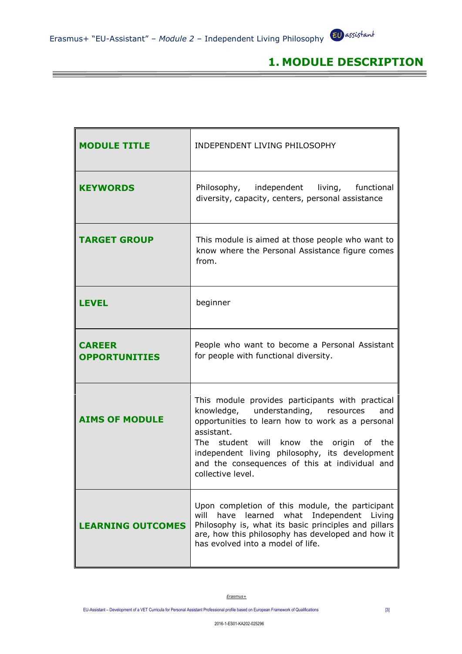**【1】 【1】 【1】 【1】 【1】 】 【1】 】 【1】 】 【1】 】 【1】 】 【1】 】 【1】 】 【1】 】 【1】 】 【1】 】** 【1】 】 【

## **1. MODULE DESCRIPTION**

Ξ

| <b>MODULE TITLE</b>                   | INDEPENDENT LIVING PHILOSOPHY                                                                                                                                                                                                                                                                                                           |
|---------------------------------------|-----------------------------------------------------------------------------------------------------------------------------------------------------------------------------------------------------------------------------------------------------------------------------------------------------------------------------------------|
| <b>KEYWORDS</b>                       | Philosophy, independent<br>living, functional<br>diversity, capacity, centers, personal assistance                                                                                                                                                                                                                                      |
| <b>TARGET GROUP</b>                   | This module is aimed at those people who want to<br>know where the Personal Assistance figure comes<br>from.                                                                                                                                                                                                                            |
| <b>LEVEL</b>                          | beginner                                                                                                                                                                                                                                                                                                                                |
| <b>CAREER</b><br><b>OPPORTUNITIES</b> | People who want to become a Personal Assistant<br>for people with functional diversity.                                                                                                                                                                                                                                                 |
| <b>AIMS OF MODULE</b>                 | This module provides participants with practical<br>knowledge, understanding,<br>resources<br>and<br>opportunities to learn how to work as a personal<br>assistant.<br>The student will know the origin of the<br>independent living philosophy, its development<br>and the consequences of this at individual and<br>collective level. |
| <b>LEARNING OUTCOMES</b>              | Upon completion of this module, the participant<br>will<br>learned what<br>Independent<br>have<br>Living<br>Philosophy is, what its basic principles and pillars<br>are, how this philosophy has developed and how it<br>has evolved into a model of life.                                                                              |

*Erasmus+*

EU-Assistant – Development of a VET Curricula for Personal Assistant Professional profile based on European Framework of Qualifications [3]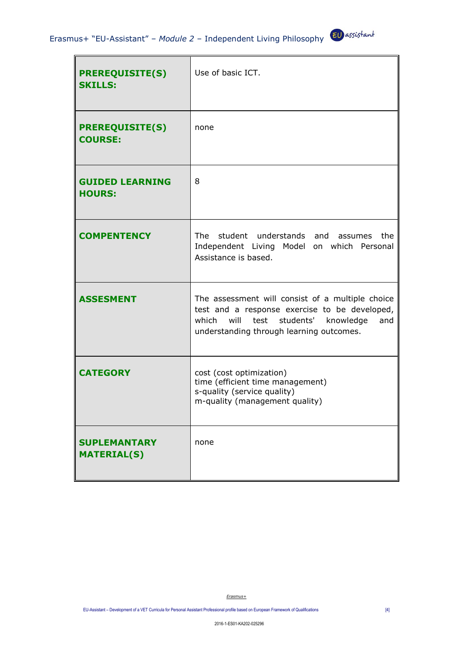| <b>PREREQUISITE(S)</b><br><b>SKILLS:</b>  | Use of basic ICT.                                                                                                                                                                              |
|-------------------------------------------|------------------------------------------------------------------------------------------------------------------------------------------------------------------------------------------------|
| <b>PREREQUISITE(S)</b><br><b>COURSE:</b>  | none                                                                                                                                                                                           |
| <b>GUIDED LEARNING</b><br><b>HOURS:</b>   | 8                                                                                                                                                                                              |
| <b>COMPENTENCY</b>                        | The student understands and assumes the<br>Independent Living Model on which Personal<br>Assistance is based.                                                                                  |
| <b>ASSESMENT</b>                          | The assessment will consist of a multiple choice<br>test and a response exercise to be developed,<br>will test students' knowledge<br>which<br>and<br>understanding through learning outcomes. |
| <b>CATEGORY</b>                           | cost (cost optimization)<br>time (efficient time management)<br>s-quality (service quality)<br>m-quality (management quality)                                                                  |
| <b>SUPLEMANTARY</b><br><b>MATERIAL(S)</b> | none                                                                                                                                                                                           |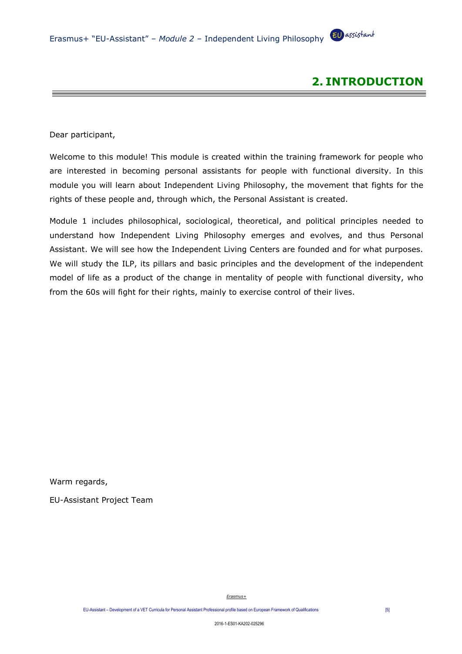

Dear participant,

Welcome to this module! This module is created within the training framework for people who are interested in becoming personal assistants for people with functional diversity. In this module you will learn about Independent Living Philosophy, the movement that fights for the rights of these people and, through which, the Personal Assistant is created.

Module 1 includes philosophical, sociological, theoretical, and political principles needed to understand how Independent Living Philosophy emerges and evolves, and thus Personal Assistant. We will see how the Independent Living Centers are founded and for what purposes. We will study the ILP, its pillars and basic principles and the development of the independent model of life as a product of the change in mentality of people with functional diversity, who from the 60s will fight for their rights, mainly to exercise control of their lives.

Warm regards,

EU-Assistant Project Team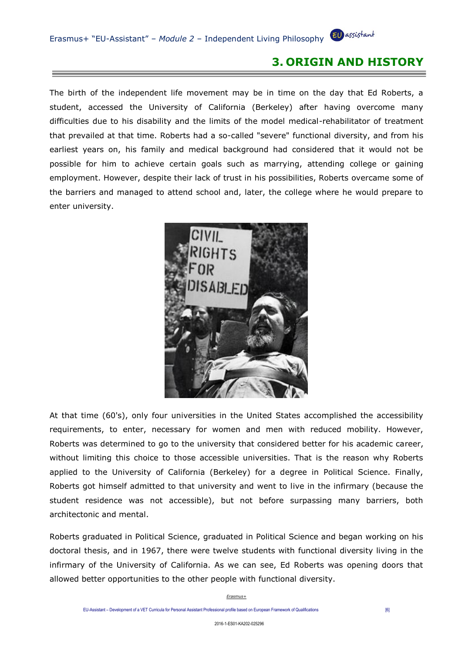### **3. ORIGIN AND HISTORY**

The birth of the independent life movement may be in time on the day that Ed Roberts, a student, accessed the University of California (Berkeley) after having overcome many difficulties due to his disability and the limits of the model medical-rehabilitator of treatment that prevailed at that time. Roberts had a so-called "severe" functional diversity, and from his earliest years on, his family and medical background had considered that it would not be possible for him to achieve certain goals such as marrying, attending college or gaining employment. However, despite their lack of trust in his possibilities, Roberts overcame some of the barriers and managed to attend school and, later, the college where he would prepare to enter university.



At that time (60's), only four universities in the United States accomplished the accessibility requirements, to enter, necessary for women and men with reduced mobility. However, Roberts was determined to go to the university that considered better for his academic career, without limiting this choice to those accessible universities. That is the reason why Roberts applied to the University of California (Berkeley) for a degree in Political Science. Finally, Roberts got himself admitted to that university and went to live in the infirmary (because the student residence was not accessible), but not before surpassing many barriers, both architectonic and mental.

Roberts graduated in Political Science, graduated in Political Science and began working on his doctoral thesis, and in 1967, there were twelve students with functional diversity living in the infirmary of the University of California. As we can see, Ed Roberts was opening doors that allowed better opportunities to the other people with functional diversity.

EU-Assistant – Development of a VET Curricula for Personal Assistant Professional profile based on European Framework of Qualifications [6]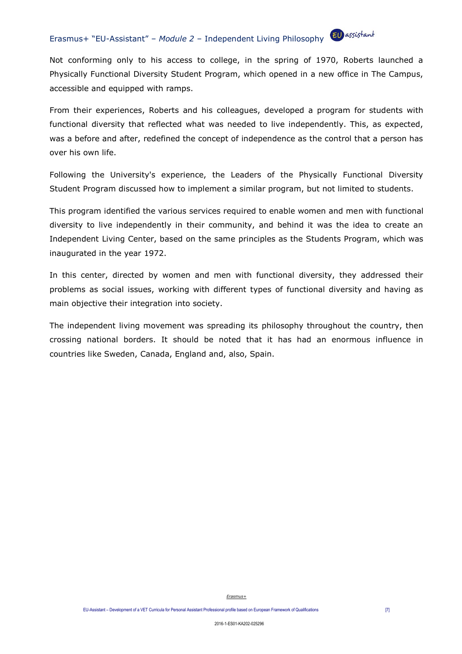Not conforming only to his access to college, in the spring of 1970, Roberts launched a Physically Functional Diversity Student Program, which opened in a new office in The Campus, accessible and equipped with ramps.

From their experiences, Roberts and his colleagues, developed a program for students with functional diversity that reflected what was needed to live independently. This, as expected, was a before and after, redefined the concept of independence as the control that a person has over his own life.

Following the University's experience, the Leaders of the Physically Functional Diversity Student Program discussed how to implement a similar program, but not limited to students.

This program identified the various services required to enable women and men with functional diversity to live independently in their community, and behind it was the idea to create an Independent Living Center, based on the same principles as the Students Program, which was inaugurated in the year 1972.

In this center, directed by women and men with functional diversity, they addressed their problems as social issues, working with different types of functional diversity and having as main objective their integration into society.

The independent living movement was spreading its philosophy throughout the country, then crossing national borders. It should be noted that it has had an enormous influence in countries like Sweden, Canada, England and, also, Spain.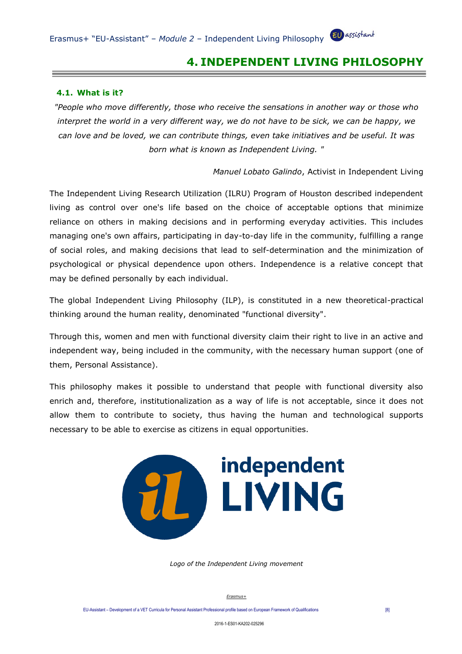### **4. INDEPENDENT LIVING PHILOSOPHY**

#### **4.1. What is it?**

*"People who move differently, those who receive the sensations in another way or those who interpret the world in a very different way, we do not have to be sick, we can be happy, we can love and be loved, we can contribute things, even take initiatives and be useful. It was born what is known as Independent Living. "*

*Manuel Lobato Galindo*, Activist in Independent Living

The Independent Living Research Utilization (ILRU) Program of Houston described independent living as control over one's life based on the choice of acceptable options that minimize reliance on others in making decisions and in performing everyday activities. This includes managing one's own affairs, participating in day-to-day life in the community, fulfilling a range of social roles, and making decisions that lead to self-determination and the minimization of psychological or physical dependence upon others. Independence is a relative concept that may be defined personally by each individual.

The global Independent Living Philosophy (ILP), is constituted in a new theoretical-practical thinking around the human reality, denominated "functional diversity".

Through this, women and men with functional diversity claim their right to live in an active and independent way, being included in the community, with the necessary human support (one of them, Personal Assistance).

This philosophy makes it possible to understand that people with functional diversity also enrich and, therefore, institutionalization as a way of life is not acceptable, since it does not allow them to contribute to society, thus having the human and technological supports necessary to be able to exercise as citizens in equal opportunities.



*Logo of the Independent Living movement*

*Erasmus+*

EU-Assistant – Development of a VET Curricula for Personal Assistant Professional profile based on European Framework of Qualifications [8]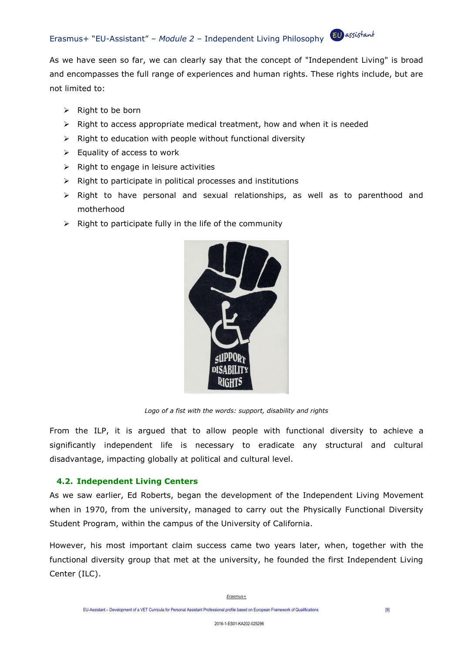As we have seen so far, we can clearly say that the concept of "Independent Living" is broad and encompasses the full range of experiences and human rights. These rights include, but are not limited to:

- ➢ Right to be born
- ➢ Right to access appropriate medical treatment, how and when it is needed
- $\triangleright$  Right to education with people without functional diversity
- $\triangleright$  Equality of access to work
- $\triangleright$  Right to engage in leisure activities
- ➢ Right to participate in political processes and institutions
- ➢ Right to have personal and sexual relationships, as well as to parenthood and motherhood
- $\triangleright$  Right to participate fully in the life of the community



*Logo of a fist with the words: support, disability and rights*

From the ILP, it is argued that to allow people with functional diversity to achieve a significantly independent life is necessary to eradicate any structural and cultural disadvantage, impacting globally at political and cultural level.

#### **4.2. Independent Living Centers**

As we saw earlier, Ed Roberts, began the development of the Independent Living Movement when in 1970, from the university, managed to carry out the Physically Functional Diversity Student Program, within the campus of the University of California.

However, his most important claim success came two years later, when, together with the functional diversity group that met at the university, he founded the first Independent Living Center (ILC).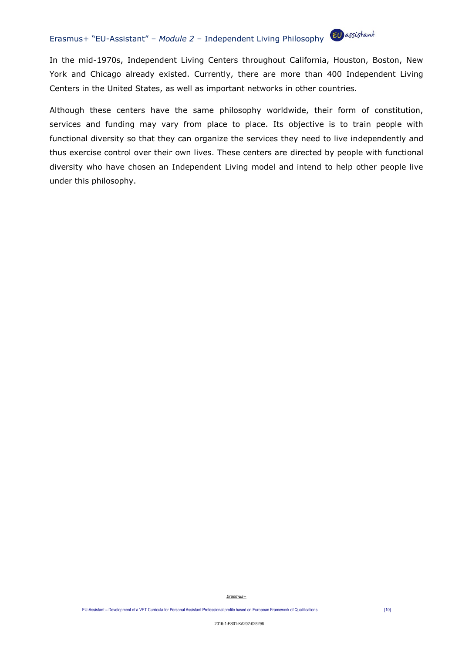In the mid-1970s, Independent Living Centers throughout California, Houston, Boston, New York and Chicago already existed. Currently, there are more than 400 Independent Living Centers in the United States, as well as important networks in other countries.

Although these centers have the same philosophy worldwide, their form of constitution, services and funding may vary from place to place. Its objective is to train people with functional diversity so that they can organize the services they need to live independently and thus exercise control over their own lives. These centers are directed by people with functional diversity who have chosen an Independent Living model and intend to help other people live under this philosophy.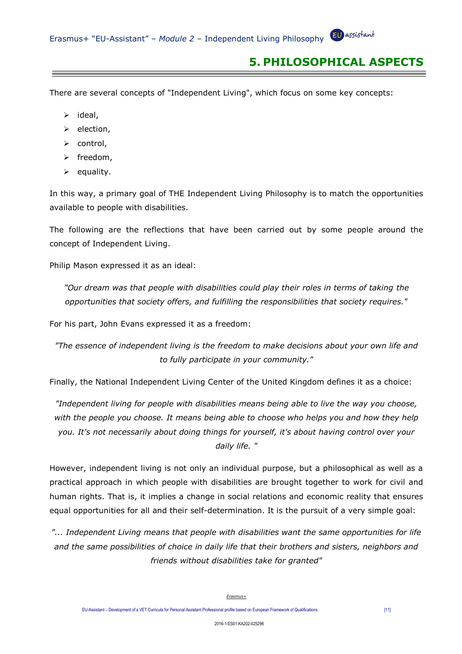## **5. PHILOSOPHICAL ASPECTS**

There are several concepts of "Independent Living", which focus on some key concepts:

- ➢ ideal,
- ➢ election,
- ➢ control,
- ➢ freedom,
- $\triangleright$  equality.

In this way, a primary goal of THE Independent Living Philosophy is to match the opportunities available to people with disabilities.

The following are the reflections that have been carried out by some people around the concept of Independent Living.

Philip Mason expressed it as an ideal:

*"Our dream was that people with disabilities could play their roles in terms of taking the opportunities that society offers, and fulfilling the responsibilities that society requires."*

For his part, John Evans expressed it as a freedom:

*"The essence of independent living is the freedom to make decisions about your own life and to fully participate in your community."*

Finally, the National Independent Living Center of the United Kingdom defines it as a choice:

*"Independent living for people with disabilities means being able to live the way you choose, with the people you choose. It means being able to choose who helps you and how they help you. It's not necessarily about doing things for yourself, it's about having control over your daily life. "*

However, independent living is not only an individual purpose, but a philosophical as well as a practical approach in which people with disabilities are brought together to work for civil and human rights. That is, it implies a change in social relations and economic reality that ensures equal opportunities for all and their self-determination. It is the pursuit of a very simple goal:

*"... Independent Living means that people with disabilities want the same opportunities for life and the same possibilities of choice in daily life that their brothers and sisters, neighbors and friends without disabilities take for granted"*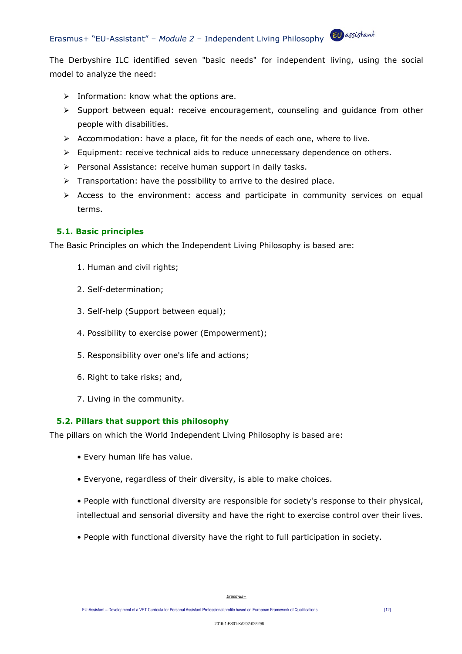The Derbyshire ILC identified seven "basic needs" for independent living, using the social model to analyze the need:

- $\triangleright$  Information: know what the options are.
- ➢ Support between equal: receive encouragement, counseling and guidance from other people with disabilities.
- $\triangleright$  Accommodation: have a place, fit for the needs of each one, where to live.
- ➢ Equipment: receive technical aids to reduce unnecessary dependence on others.
- ➢ Personal Assistance: receive human support in daily tasks.
- ➢ Transportation: have the possibility to arrive to the desired place.
- ➢ Access to the environment: access and participate in community services on equal terms.

#### **5.1. Basic principles**

The Basic Principles on which the Independent Living Philosophy is based are:

- 1. Human and civil rights;
- 2. Self-determination;
- 3. Self-help (Support between equal);
- 4. Possibility to exercise power (Empowerment);
- 5. Responsibility over one's life and actions;
- 6. Right to take risks; and,
- 7. Living in the community.

#### **5.2. Pillars that support this philosophy**

The pillars on which the World Independent Living Philosophy is based are:

- Every human life has value.
- Everyone, regardless of their diversity, is able to make choices.

• People with functional diversity are responsible for society's response to their physical, intellectual and sensorial diversity and have the right to exercise control over their lives.

• People with functional diversity have the right to full participation in society.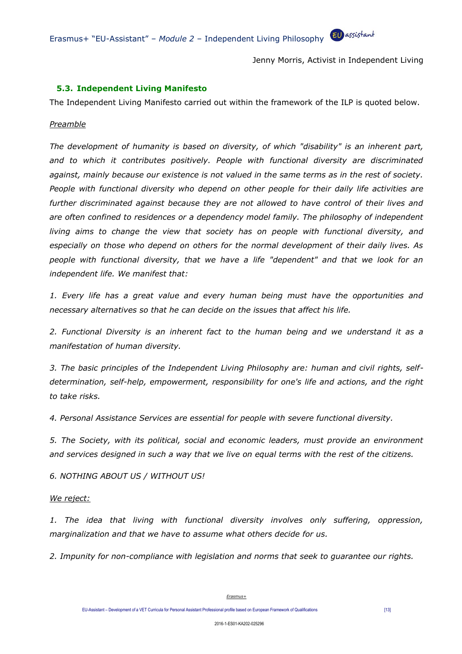Jenny Morris, Activist in Independent Living

#### **5.3. Independent Living Manifesto**

The Independent Living Manifesto carried out within the framework of the ILP is quoted below.

#### *Preamble*

*The development of humanity is based on diversity, of which "disability" is an inherent part, and to which it contributes positively. People with functional diversity are discriminated against, mainly because our existence is not valued in the same terms as in the rest of society. People with functional diversity who depend on other people for their daily life activities are further discriminated against because they are not allowed to have control of their lives and are often confined to residences or a dependency model family. The philosophy of independent*  living aims to change the view that society has on people with functional diversity, and *especially on those who depend on others for the normal development of their daily lives. As people with functional diversity, that we have a life "dependent" and that we look for an independent life. We manifest that:*

*1. Every life has a great value and every human being must have the opportunities and necessary alternatives so that he can decide on the issues that affect his life.*

*2. Functional Diversity is an inherent fact to the human being and we understand it as a manifestation of human diversity.*

*3. The basic principles of the Independent Living Philosophy are: human and civil rights, selfdetermination, self-help, empowerment, responsibility for one's life and actions, and the right to take risks.*

*4. Personal Assistance Services are essential for people with severe functional diversity.*

*5. The Society, with its political, social and economic leaders, must provide an environment and services designed in such a way that we live on equal terms with the rest of the citizens.*

*6. NOTHING ABOUT US / WITHOUT US!*

#### *We reject:*

*1. The idea that living with functional diversity involves only suffering, oppression, marginalization and that we have to assume what others decide for us.*

*2. Impunity for non-compliance with legislation and norms that seek to guarantee our rights.*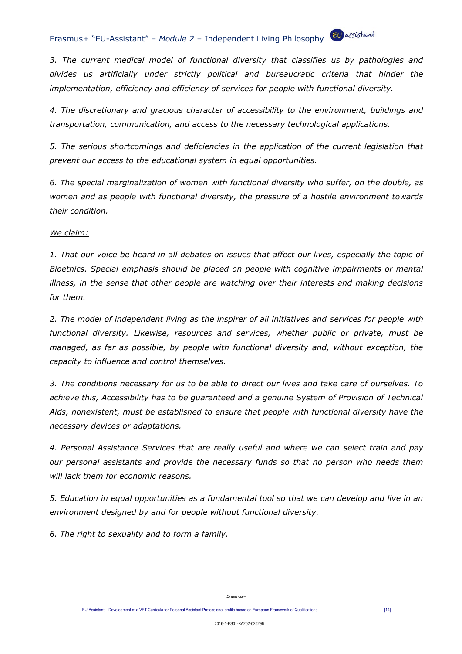*3. The current medical model of functional diversity that classifies us by pathologies and divides us artificially under strictly political and bureaucratic criteria that hinder the implementation, efficiency and efficiency of services for people with functional diversity.*

*4. The discretionary and gracious character of accessibility to the environment, buildings and transportation, communication, and access to the necessary technological applications.*

*5. The serious shortcomings and deficiencies in the application of the current legislation that prevent our access to the educational system in equal opportunities.*

*6. The special marginalization of women with functional diversity who suffer, on the double, as women and as people with functional diversity, the pressure of a hostile environment towards their condition.*

#### *We claim:*

*1. That our voice be heard in all debates on issues that affect our lives, especially the topic of Bioethics. Special emphasis should be placed on people with cognitive impairments or mental illness, in the sense that other people are watching over their interests and making decisions for them.*

*2. The model of independent living as the inspirer of all initiatives and services for people with functional diversity. Likewise, resources and services, whether public or private, must be managed, as far as possible, by people with functional diversity and, without exception, the capacity to influence and control themselves.*

*3. The conditions necessary for us to be able to direct our lives and take care of ourselves. To achieve this, Accessibility has to be guaranteed and a genuine System of Provision of Technical Aids, nonexistent, must be established to ensure that people with functional diversity have the necessary devices or adaptations.*

*4. Personal Assistance Services that are really useful and where we can select train and pay our personal assistants and provide the necessary funds so that no person who needs them will lack them for economic reasons.*

*5. Education in equal opportunities as a fundamental tool so that we can develop and live in an environment designed by and for people without functional diversity.*

*6. The right to sexuality and to form a family.*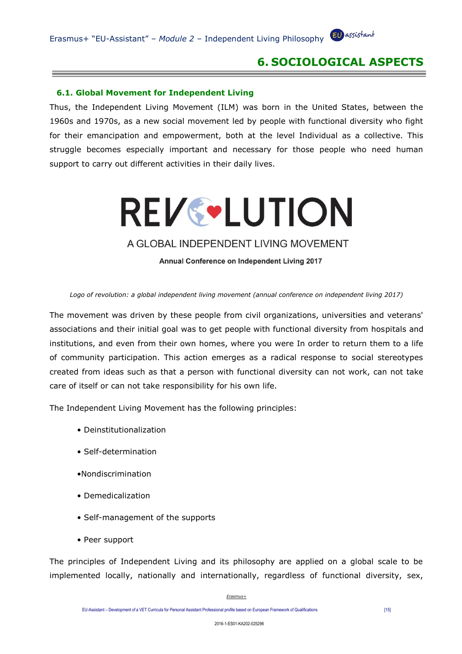## **6. SOCIOLOGICAL ASPECTS**

#### **6.1. Global Movement for Independent Living**

Thus, the Independent Living Movement (ILM) was born in the United States, between the 1960s and 1970s, as a new social movement led by people with functional diversity who fight for their emancipation and empowerment, both at the level Individual as a collective. This struggle becomes especially important and necessary for those people who need human support to carry out different activities in their daily lives.

# **REV&LUTION**

#### A GLOBAL INDEPENDENT LIVING MOVEMENT

Annual Conference on Independent Living 2017

#### *Logo of revolution: a global independent living movement (annual conference on independent living 2017)*

The movement was driven by these people from civil organizations, universities and veterans' associations and their initial goal was to get people with functional diversity from hospitals and institutions, and even from their own homes, where you were In order to return them to a life of community participation. This action emerges as a radical response to social stereotypes created from ideas such as that a person with functional diversity can not work, can not take care of itself or can not take responsibility for his own life.

The Independent Living Movement has the following principles:

- Deinstitutionalization
- Self-determination
- •Nondiscrimination
- Demedicalization
- Self-management of the supports
- Peer support

The principles of Independent Living and its philosophy are applied on a global scale to be implemented locally, nationally and internationally, regardless of functional diversity, sex,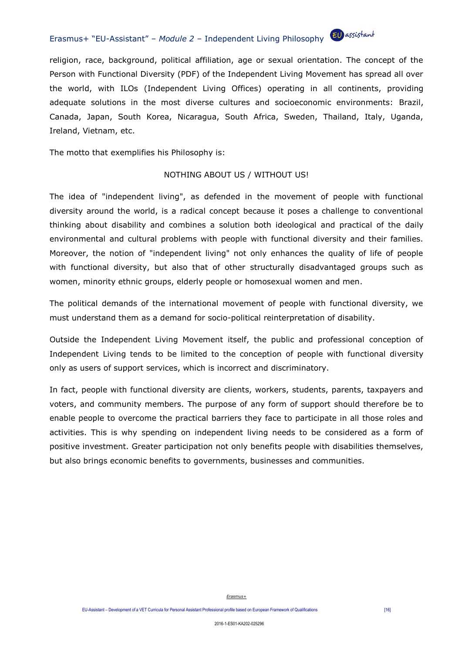religion, race, background, political affiliation, age or sexual orientation. The concept of the Person with Functional Diversity (PDF) of the Independent Living Movement has spread all over the world, with ILOs (Independent Living Offices) operating in all continents, providing adequate solutions in the most diverse cultures and socioeconomic environments: Brazil, Canada, Japan, South Korea, Nicaragua, South Africa, Sweden, Thailand, Italy, Uganda, Ireland, Vietnam, etc.

The motto that exemplifies his Philosophy is:

#### NOTHING ABOUT US / WITHOUT US!

The idea of "independent living", as defended in the movement of people with functional diversity around the world, is a radical concept because it poses a challenge to conventional thinking about disability and combines a solution both ideological and practical of the daily environmental and cultural problems with people with functional diversity and their families. Moreover, the notion of "independent living" not only enhances the quality of life of people with functional diversity, but also that of other structurally disadvantaged groups such as women, minority ethnic groups, elderly people or homosexual women and men.

The political demands of the international movement of people with functional diversity, we must understand them as a demand for socio-political reinterpretation of disability.

Outside the Independent Living Movement itself, the public and professional conception of Independent Living tends to be limited to the conception of people with functional diversity only as users of support services, which is incorrect and discriminatory.

In fact, people with functional diversity are clients, workers, students, parents, taxpayers and voters, and community members. The purpose of any form of support should therefore be to enable people to overcome the practical barriers they face to participate in all those roles and activities. This is why spending on independent living needs to be considered as a form of positive investment. Greater participation not only benefits people with disabilities themselves, but also brings economic benefits to governments, businesses and communities.